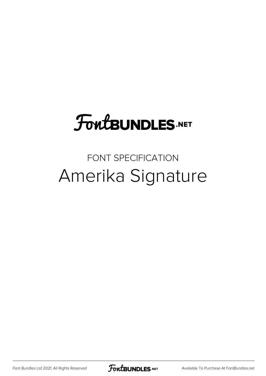## **FoutBUNDLES.NET**

## FONT SPECIFICATION Amerika Signature

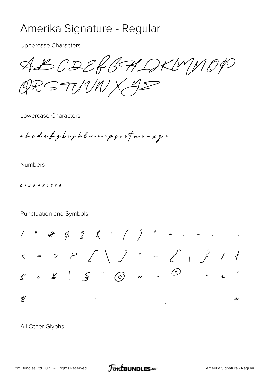## Amerika Signature - Regular

**Uppercase Characters** 

ABCDERGHDKUMOP QRSTINWX 42

Lowercase Characters

abcdefghijklmnopgrofuvaxyz

**Numbers** 

0123456789

Punctuation and Symbols

 $5 = 5$   $2$   $1$   $1$   $2$   $1$   $2$   $1$   $4$  $\bigcirc$  -  $\cdot$  $\mathcal{U}$  $\gg$  $\overline{\mathcal{L}}$ 

## All Other Glyphs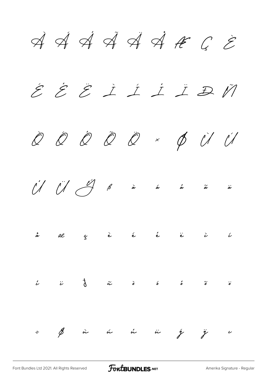$\overrightarrow{A}$   $\overrightarrow{A}$   $\overrightarrow{A}$   $\overrightarrow{A}$   $\overrightarrow{A}$   $\overrightarrow{C}$   $\overrightarrow{E}$  $\acute{z}$   $\acute{z}$   $\acute{z}$   $\acute{z}$   $\acute{z}$   $\acute{z}$   $\acute{z}$   $\acute{z}$   $\acute{w}$ Ò Ó Ô Õ Ö × Ø Ù Ú  $\bigcup_{i=1}^{n} \bigcup_{j=1}^{n} \bigcup_{j=1}^{n} \bigcup_{j=1}^{n} \bigcup_{j=1}^{n} \bigcup_{j=1}^{n} \bigcup_{j=1}^{n} \bigcup_{j=1}^{n} \bigcup_{j=1}^{n} \bigcup_{j=1}^{n} \bigcup_{j=1}^{n} \bigcup_{j=1}^{n} \bigcup_{j=1}^{n} \bigcup_{j=1}^{n} \bigcup_{j=1}^{n} \bigcup_{j=1}^{n} \bigcup_{j=1}^{n} \bigcup_{j=1}^{n} \bigcup_{j=1}^{n} \bigcup_{j=1}^{n}$ å æ ç è é ê ë ì í  $\stackrel{\circ}{\iota}$   $\stackrel{\circ}{\iota}$   $\stackrel{\circ}{\iota}$   $\stackrel{\circ}{\iota}$   $\stackrel{\circ}{\iota}$   $\stackrel{\circ}{\iota}$   $\stackrel{\circ}{\iota}$   $\stackrel{\circ}{\iota}$   $\stackrel{\circ}{\iota}$   $\stackrel{\circ}{\iota}$   $\stackrel{\circ}{\iota}$   $\stackrel{\circ}{\iota}$  $\div$  by  $\phi$  in the  $\phi$  in  $\psi$  if  $\psi$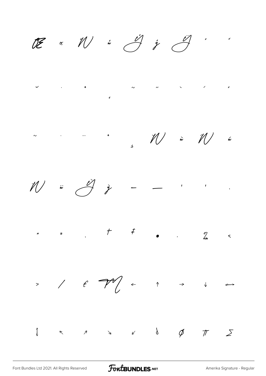$\begin{array}{ccccc} \mathbb{CE} & \mathbb{R} & \mathbb{W} & \mathbb{R} & \mathbb{Z} & \mathbb{Z} & \mathbb{Z} & \mathbb{Z} & \mathbb{Z} & \mathbb{Z} & \mathbb{Z} & \mathbb{Z} & \mathbb{Z} & \mathbb{Z} & \mathbb{Z} & \mathbb{Z} & \mathbb{Z} & \mathbb{Z} & \mathbb{Z} & \mathbb{Z} & \mathbb{Z} & \mathbb{Z} & \mathbb{Z} & \mathbb{Z} & \mathbb{Z} & \mathbb{Z} & \mathbb{Z} & \mathbb{Z} & \mathbb{Z} & \mathbb{Z} & \math$ 











[Font Bundles Ltd 2021. All Rights Reserved](https://fontbundles.net/) **FoutBUNDLES.NET** [Amerika Signature - Regular](https://fontbundles.net/)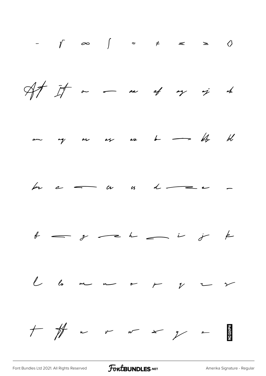